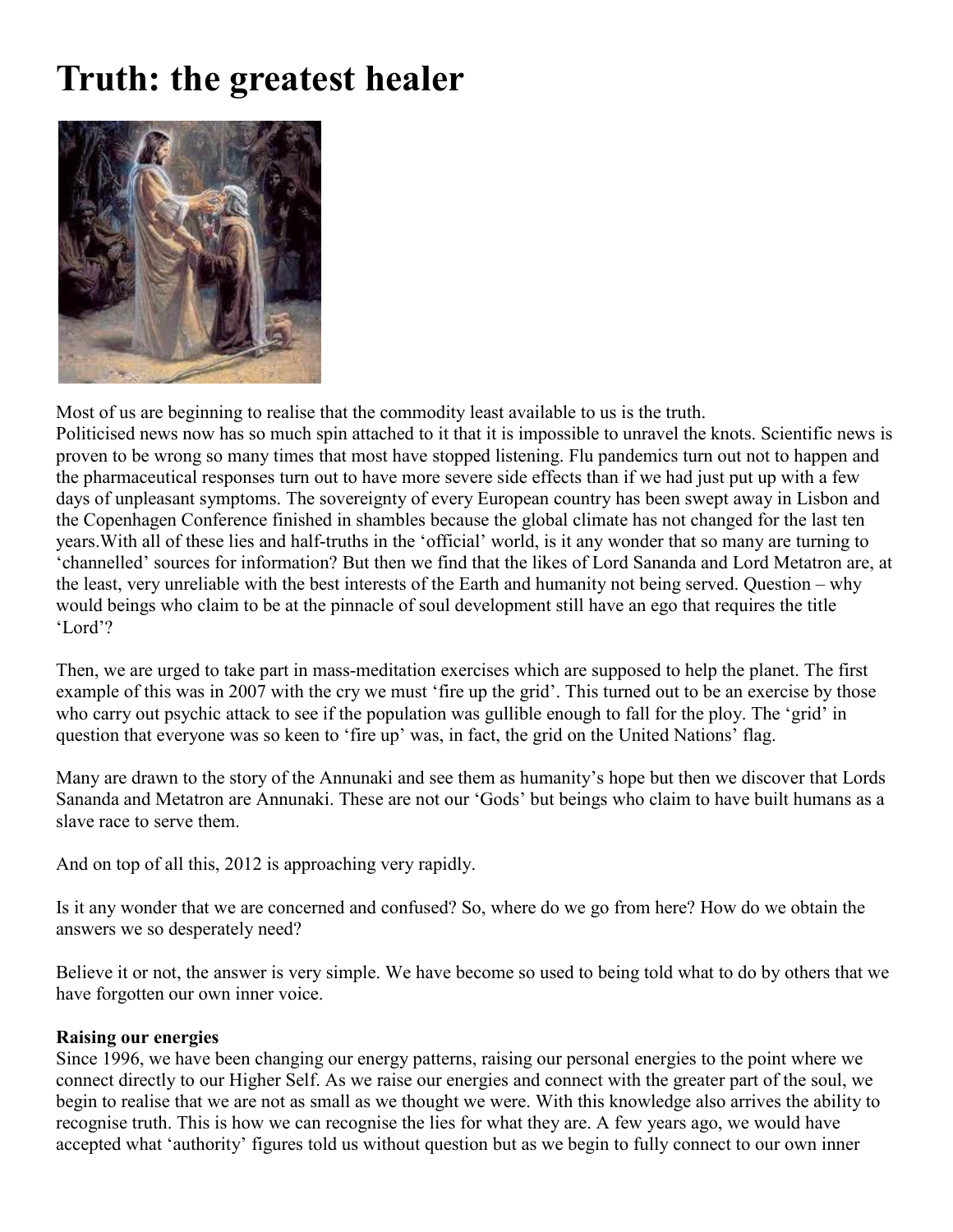## **Truth: the greatest healer**



Most of us are beginning to realise that the commodity least available to us is the truth. Politicised news now has so much spin attached to it that it is impossible to unravel the knots. Scientific news is proven to be wrong so many times that most have stopped listening. Flu pandemics turn out not to happen and the pharmaceutical responses turn out to have more severe side effects than if we had just put up with a few days of unpleasant symptoms. The sovereignty of every European country has been swept away in Lisbon and the Copenhagen Conference finished in shambles because the global climate has not changed for the last ten years.With all of these lies and half-truths in the 'official' world, is it any wonder that so many are turning to 'channelled' sources for information? But then we find that the likes of Lord Sananda and Lord Metatron are, at the least, very unreliable with the best interests of the Earth and humanity not being served. Question – why would beings who claim to be at the pinnacle of soul development still have an ego that requires the title 'Lord'?

Then, we are urged to take part in mass-meditation exercises which are supposed to help the planet. The first example of this was in 2007 with the cry we must 'fire up the grid'. This turned out to be an exercise by those who carry out psychic attack to see if the population was gullible enough to fall for the ploy. The 'grid' in question that everyone was so keen to 'fire up' was, in fact, the grid on the United Nations' flag.

Many are drawn to the story of the Annunaki and see them as humanity's hope but then we discover that Lords Sananda and Metatron are Annunaki. These are not our 'Gods' but beings who claim to have built humans as a slave race to serve them.

And on top of all this, 2012 is approaching very rapidly.

Is it any wonder that we are concerned and confused? So, where do we go from here? How do we obtain the answers we so desperately need?

Believe it or not, the answer is very simple. We have become so used to being told what to do by others that we have forgotten our own inner voice.

## **Raising our energies**

Since 1996, we have been changing our energy patterns, raising our personal energies to the point where we connect directly to our Higher Self. As we raise our energies and connect with the greater part of the soul, we begin to realise that we are not as small as we thought we were. With this knowledge also arrives the ability to recognise truth. This is how we can recognise the lies for what they are. A few years ago, we would have accepted what 'authority' figures told us without question but as we begin to fully connect to our own inner